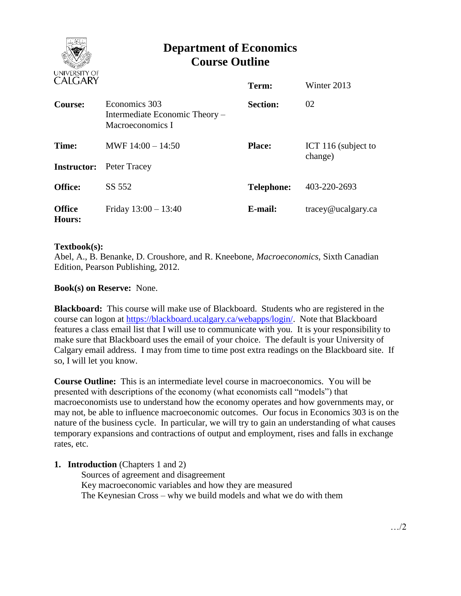

# **Department of Economics Course Outline**

| CALUANI                 |                                                                     | Term:             | Winter 2013                    |
|-------------------------|---------------------------------------------------------------------|-------------------|--------------------------------|
| Course:                 | Economics 303<br>Intermediate Economic Theory –<br>Macroeconomics I | <b>Section:</b>   | 02                             |
| Time:                   | MWF $14:00 - 14:50$                                                 | <b>Place:</b>     | ICT 116 (subject to<br>change) |
| <b>Instructor:</b>      | Peter Tracey                                                        |                   |                                |
| <b>Office:</b>          | SS 552                                                              | <b>Telephone:</b> | 403-220-2693                   |
| <b>Office</b><br>Hours: | Friday $13:00 - 13:40$                                              | E-mail:           | $trace\$ <i>e</i> ucalgary.ca  |

## **Textbook(s):**

Abel, A., B. Benanke, D. Croushore, and R. Kneebone, *Macroeconomics*, Sixth Canadian Edition, Pearson Publishing, 2012.

# **Book(s) on Reserve:** None.

**Blackboard:** This course will make use of Blackboard. Students who are registered in the course can logon at [https://blackboard.ucalgary.ca/webapps/login/.](https://blackboard.ucalgary.ca/webapps/login/) Note that Blackboard features a class email list that I will use to communicate with you. It is your responsibility to make sure that Blackboard uses the email of your choice. The default is your University of Calgary email address. I may from time to time post extra readings on the Blackboard site. If so, I will let you know.

**Course Outline:** This is an intermediate level course in macroeconomics. You will be presented with descriptions of the economy (what economists call "models") that macroeconomists use to understand how the economy operates and how governments may, or may not, be able to influence macroeconomic outcomes. Our focus in Economics 303 is on the nature of the business cycle. In particular, we will try to gain an understanding of what causes temporary expansions and contractions of output and employment, rises and falls in exchange rates, etc.

## **1. Introduction** (Chapters 1 and 2)

Sources of agreement and disagreement Key macroeconomic variables and how they are measured The Keynesian Cross – why we build models and what we do with them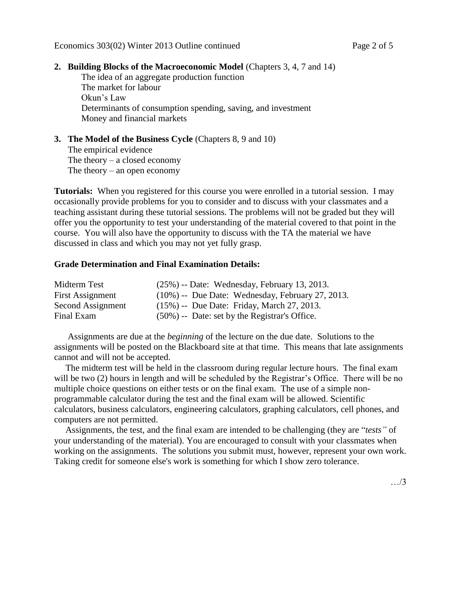#### **2. Building Blocks of the Macroeconomic Model** (Chapters 3, 4, 7 and 14)

The idea of an aggregate production function The market for labour Okun's Law Determinants of consumption spending, saving, and investment Money and financial markets

## **3. The Model of the Business Cycle** (Chapters 8, 9 and 10) The empirical evidence The theory  $-$  a closed economy The theory – an open economy

**Tutorials:** When you registered for this course you were enrolled in a tutorial session. I may occasionally provide problems for you to consider and to discuss with your classmates and a teaching assistant during these tutorial sessions. The problems will not be graded but they will offer you the opportunity to test your understanding of the material covered to that point in the course. You will also have the opportunity to discuss with the TA the material we have discussed in class and which you may not yet fully grasp.

#### **Grade Determination and Final Examination Details:**

| Midterm Test            | $(25\%)$ -- Date: Wednesday, February 13, 2013.     |
|-------------------------|-----------------------------------------------------|
| <b>First Assignment</b> | $(10\%)$ -- Due Date: Wednesday, February 27, 2013. |
| Second Assignment       | $(15\%)$ -- Due Date: Friday, March 27, 2013.       |
| Final Exam              | $(50\%)$ -- Date: set by the Registrar's Office.    |

 Assignments are due at the *beginning* of the lecture on the due date. Solutions to the assignments will be posted on the Blackboard site at that time. This means that late assignments cannot and will not be accepted.

 The midterm test will be held in the classroom during regular lecture hours. The final exam will be two (2) hours in length and will be scheduled by the Registrar's Office. There will be no multiple choice questions on either tests or on the final exam. The use of a simple nonprogrammable calculator during the test and the final exam will be allowed. Scientific calculators, business calculators, engineering calculators, graphing calculators, cell phones, and computers are not permitted.

 Assignments, the test, and the final exam are intended to be challenging (they are "*tests"* of your understanding of the material). You are encouraged to consult with your classmates when working on the assignments. The solutions you submit must, however, represent your own work. Taking credit for someone else's work is something for which I show zero tolerance.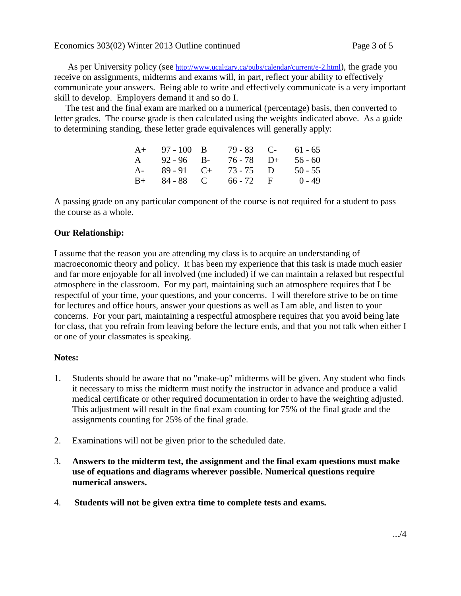As per University policy (see <http://www.ucalgary.ca/pubs/calendar/current/e-2.html>), the grade you receive on assignments, midterms and exams will, in part, reflect your ability to effectively communicate your answers. Being able to write and effectively communicate is a very important skill to develop. Employers demand it and so do I.

 The test and the final exam are marked on a numerical (percentage) basis, then converted to letter grades. The course grade is then calculated using the weights indicated above. As a guide to determining standing, these letter grade equivalences will generally apply:

|      | $A+ 97-100 B$ | 79 - 83 C-             | $61 - 65$ |
|------|---------------|------------------------|-----------|
| A    | $92 - 96$ B-  | $76 - 78$ D+           | $56 - 60$ |
| $A-$ | $89 - 91$ C+  | $73 - 75$ D            | $50 - 55$ |
|      |               | $B+ 84-88$ C 66 - 72 F | $0 - 49$  |

A passing grade on any particular component of the course is not required for a student to pass the course as a whole.

# **Our Relationship:**

I assume that the reason you are attending my class is to acquire an understanding of macroeconomic theory and policy. It has been my experience that this task is made much easier and far more enjoyable for all involved (me included) if we can maintain a relaxed but respectful atmosphere in the classroom. For my part, maintaining such an atmosphere requires that I be respectful of your time, your questions, and your concerns. I will therefore strive to be on time for lectures and office hours, answer your questions as well as I am able, and listen to your concerns. For your part, maintaining a respectful atmosphere requires that you avoid being late for class, that you refrain from leaving before the lecture ends, and that you not talk when either I or one of your classmates is speaking.

## **Notes:**

- 1. Students should be aware that no "make-up" midterms will be given. Any student who finds it necessary to miss the midterm must notify the instructor in advance and produce a valid medical certificate or other required documentation in order to have the weighting adjusted. This adjustment will result in the final exam counting for 75% of the final grade and the assignments counting for 25% of the final grade.
- 2. Examinations will not be given prior to the scheduled date.
- 3. **Answers to the midterm test, the assignment and the final exam questions must make use of equations and diagrams wherever possible. Numerical questions require numerical answers.**
- 4. **Students will not be given extra time to complete tests and exams.**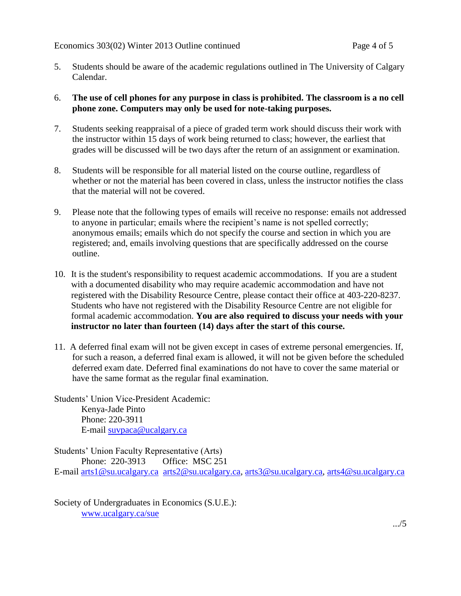- 5. Students should be aware of the academic regulations outlined in The University of Calgary Calendar.
- 6. **The use of cell phones for any purpose in class is prohibited. The classroom is a no cell phone zone. Computers may only be used for note-taking purposes.**
- 7. Students seeking reappraisal of a piece of graded term work should discuss their work with the instructor within 15 days of work being returned to class; however, the earliest that grades will be discussed will be two days after the return of an assignment or examination.
- 8. Students will be responsible for all material listed on the course outline, regardless of whether or not the material has been covered in class, unless the instructor notifies the class that the material will not be covered.
- 9. Please note that the following types of emails will receive no response: emails not addressed to anyone in particular; emails where the recipient's name is not spelled correctly; anonymous emails; emails which do not specify the course and section in which you are registered; and, emails involving questions that are specifically addressed on the course outline.
- 10. It is the student's responsibility to request academic accommodations. If you are a student with a documented disability who may require academic accommodation and have not registered with the Disability Resource Centre, please contact their office at 403-220-8237. Students who have not registered with the Disability Resource Centre are not eligible for formal academic accommodation. **You are also required to discuss your needs with your instructor no later than fourteen (14) days after the start of this course.**
- 11. A deferred final exam will not be given except in cases of extreme personal emergencies. If, for such a reason, a deferred final exam is allowed, it will not be given before the scheduled deferred exam date. Deferred final examinations do not have to cover the same material or have the same format as the regular final examination.

Students' Union Vice-President Academic: Kenya-Jade Pinto Phone: 220-3911 E-mail [suvpaca@ucalgary.ca](mailto:subpaca@ucalgary.ca)

Students' Union Faculty Representative (Arts) Phone: 220-3913 Office: MSC 251 E-mail [arts1@su.ucalgary.ca](mailto:arts1@su.ucalgary.ca) [arts2@su.ucalgary.ca,](mailto:arts2@su.ucalgary.ca) [arts3@su.ucalgary.ca,](mailto:arts3@su.ucalgary.ca) [arts4@su.ucalgary.ca](mailto:arts4@su.ucalgary.ca)

Society of Undergraduates in Economics (S.U.E.): [www.ucalgary.ca/sue](http://www.fp.ucalgary.ca/econ)